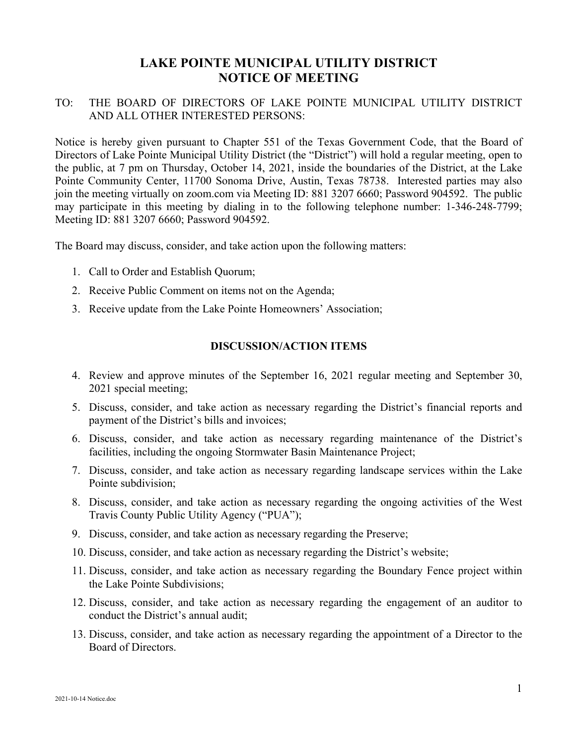## **LAKE POINTE MUNICIPAL UTILITY DISTRICT NOTICE OF MEETING**

## TO: THE BOARD OF DIRECTORS OF LAKE POINTE MUNICIPAL UTILITY DISTRICT AND ALL OTHER INTERESTED PERSONS:

Notice is hereby given pursuant to Chapter 551 of the Texas Government Code, that the Board of Directors of Lake Pointe Municipal Utility District (the "District") will hold a regular meeting, open to the public, at 7 pm on Thursday, October 14, 2021, inside the boundaries of the District, at the Lake Pointe Community Center, 11700 Sonoma Drive, Austin, Texas 78738. Interested parties may also join the meeting virtually on zoom.com via Meeting ID: 881 3207 6660; Password 904592. The public may participate in this meeting by dialing in to the following telephone number: 1-346-248-7799; Meeting ID: 881 3207 6660; Password 904592.

The Board may discuss, consider, and take action upon the following matters:

- 1. Call to Order and Establish Quorum;
- 2. Receive Public Comment on items not on the Agenda;
- 3. Receive update from the Lake Pointe Homeowners' Association;

## **DISCUSSION/ACTION ITEMS**

- 4. Review and approve minutes of the September 16, 2021 regular meeting and September 30, 2021 special meeting;
- 5. Discuss, consider, and take action as necessary regarding the District's financial reports and payment of the District's bills and invoices;
- 6. Discuss, consider, and take action as necessary regarding maintenance of the District's facilities, including the ongoing Stormwater Basin Maintenance Project;
- 7. Discuss, consider, and take action as necessary regarding landscape services within the Lake Pointe subdivision;
- 8. Discuss, consider, and take action as necessary regarding the ongoing activities of the West Travis County Public Utility Agency ("PUA");
- 9. Discuss, consider, and take action as necessary regarding the Preserve;
- 10. Discuss, consider, and take action as necessary regarding the District's website;
- 11. Discuss, consider, and take action as necessary regarding the Boundary Fence project within the Lake Pointe Subdivisions;
- 12. Discuss, consider, and take action as necessary regarding the engagement of an auditor to conduct the District's annual audit;
- 13. Discuss, consider, and take action as necessary regarding the appointment of a Director to the Board of Directors.